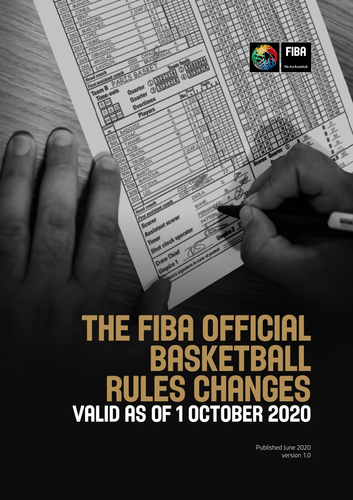

**A** 

Quarter <sub>3</sub>

Quanter<br>Quanter Quarter<br>Overtimes

**Car ass** 

Scoret

Timer

**SLASSISTANT SCOTOR**<br>Scorer<br>| Assistant scorer

Shot clock operator

**hot chief**<br>Crew Chief

 $\circledR$ 

Team B

Published June 2020 version 1.0

**FIBA** 

We Are Basketball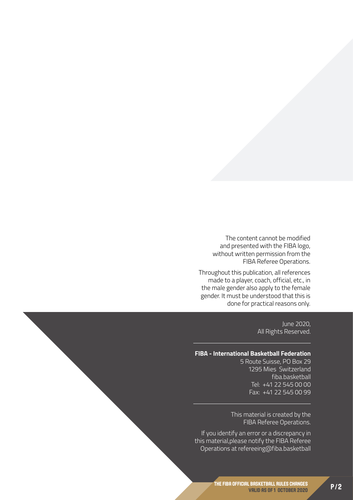The content cannot be modified and presented with the FIBA logo, without written permission from the FIBA Referee Operations.

Throughout this publication, all references made to a player, coach, official, etc., in the male gender also apply to the female gender. It must be understood that this is done for practical reasons only.

> June 2020, All Rights Reserved.

#### **FIBA - International Basketball Federation**

5 Route Suisse, PO Box 29 1295 Mies Switzerland fiba.basketball Tel: +41 22 545 00 00 Fax: +41 22 545 00 99

This material is created by the FIBA Referee Operations.

If you identify an error or a discrepancy in this material,please notify the FIBA Referee Operations at refereeing@fiba.basketball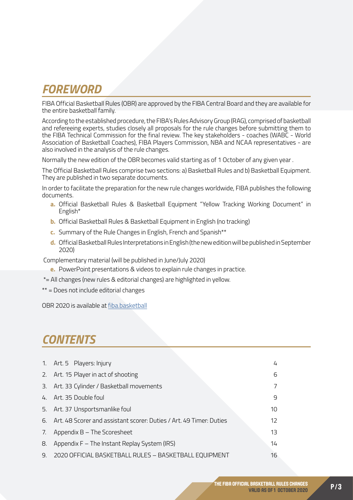## *FOREWORD*

FIBA Official Basketball Rules (OBR) are approved by the FIBA Central Board and they are available for the entire basketball family.

According to the established procedure, the FIBA's Rules Advisory Group (RAG), comprised of basketball and refereeing experts, studies closely all proposals for the rule changes before submitting them to the FIBA Technical Commission for the final review. The key stakeholders - coaches (WABC - World Association of Basketball Coaches), FIBA Players Commission, NBA and NCAA representatives - are also involved in the analysis of the rule changes.

Normally the new edition of the OBR becomes valid starting as of 1 October of any given year .

The Official Basketball Rules comprise two sections: a) Basketball Rules and b) Basketball Equipment. They are published in two separate documents.

In order to facilitate the preparation for the new rule changes worldwide, FIBA publishes the following documents.

- **a.** Official Basketball Rules & Basketball Equipment "Yellow Tracking Working Document" in English\*
- **b.** Official Basketball Rules & Basketball Equipment in English (no tracking)
- **c.** Summary of the Rule Changes in English, French and Spanish\*\*
- **d.** Official Basketball Rules Interpretations in English (the new edition will be published in September 2020)

Complementary material (will be published in June/July 2020)

- **e.** PowerPoint presentations & videos to explain rule changes in practice.
- \*= All changes (new rules & editorial changes) are highlighted in yellow.

\*\* = Does not include editorial changes

OBR 2020 is available at [fiba.basketball](http://fiba.basketball)

## *CONTENTS*

|    | 1. Art. 5 Players: Injury                                              | 4  |
|----|------------------------------------------------------------------------|----|
|    | 2. Art. 15 Player in act of shooting                                   | 6  |
| 3. | Art. 33 Cylinder / Basketball movements                                |    |
|    | 4. Art. 35 Double foul                                                 | 9  |
| 5. | Art. 37 Unsportsmanlike foul                                           | 10 |
|    | 6. Art. 48 Scorer and assistant scorer: Duties / Art. 49 Timer: Duties | 12 |
| 7. | Appendix B - The Scoresheet                                            | 13 |
| 8. | Appendix F – The Instant Replay System (IRS)                           | 14 |
| 9. | 2020 OFFICIAL BASKETBALL RULES - BASKETBALL EQUIPMENT                  | 16 |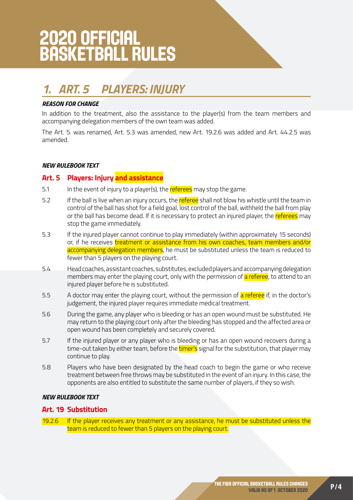# <span id="page-3-0"></span>2020 OFFICIAL BASKETBALL RULES

## *1. ART. 5 PLAYERS: INJURY*

#### *REASON FOR CHANGE*

In addition to the treatment, also the assistance to the player(s) from the team members and accompanying delegation members of the own team was added.

The Art. 5. was renamed, Art. 5.3 was amended, new Art. 19.2.6 was added and Art. 44.2.5 was amended.

#### *NEW RULEBOOK TEXT*

#### **Art. 5 Players: Injury and assistance**

- 5.1 In the event of injury to a player(s), the referees may stop the game.
- 5.2 If the ball is live when an injury occurs, the referee shall not blow his whistle until the team in control of the ball has shot for a field goal, lost control of the ball, withheld the ball from play or the ball has become dead. If it is necessary to protect an injured player, the referees may stop the game immediately.
- 5.3 If the injured player cannot continue to play immediately (within approximately 15 seconds) or, if he receives *treatment or assistance from his own coaches*, team members and/or accompanying delegation members, he must be substituted unless the team is reduced to fewer than 5 players on the playing court.
- 5.4 Head coaches, assistant coaches, substitutes, excluded players and accompanying delegation members may enter the playing court, only with the permission of a referee, to attend to an injured player before he is substituted.
- 5.5 A doctor may enter the playing court, without the permission of a referee if, in the doctor's judgement, the injured player requires immediate medical treatment.
- 5.6 During the game, any player who is bleeding or has an open wound must be substituted. He may return to the playing court only after the bleeding has stopped and the affected area or open wound has been completely and securely covered.
- 5.7 If the injured player or any player who is bleeding or has an open wound recovers during a time-out taken by either team, before the timer's signal for the substitution, that player may continue to play.
- 5.8 Players who have been designated by the head coach to begin the game or who receive treatment between free throws may be substituted in the event of an injury. In this case, the opponents are also entitled to substitute the same number of players, if they so wish.

#### *NEW RULEBOOK TEXT*

#### **Art. 19 Substitution**

19.2.6 If the player receives any treatment or any assistance, he must be substituted unless the team is reduced to fewer than 5 players on the playing court.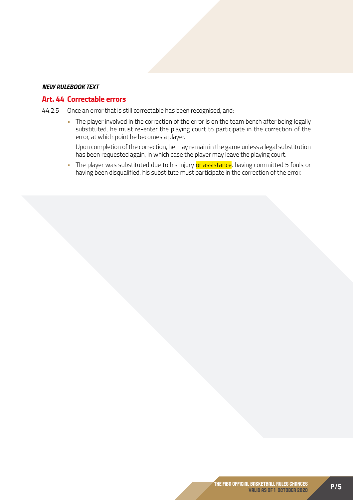#### *NEW RULEBOOK TEXT*

#### **Art. 44 Correctable errors**

44.2.5 Once an error that is still correctable has been recognised, and:

• The player involved in the correction of the error is on the team bench after being legally substituted, he must re-enter the playing court to participate in the correction of the error, at which point he becomes a player.

Upon completion of the correction, he may remain in the game unless a legal substitution has been requested again, in which case the player may leave the playing court.

The player was substituted due to his injury or assistance, having committed 5 fouls or having been disqualified, his substitute must participate in the correction of the error.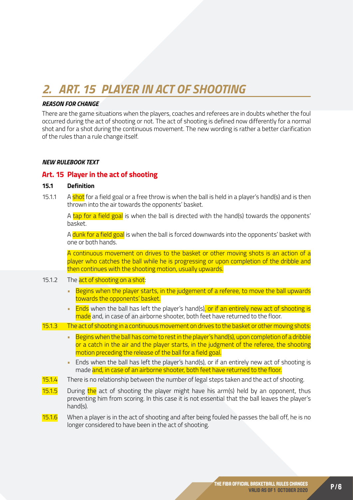## <span id="page-5-0"></span>*2. ART. 15 PLAYER IN ACT OF SHOOTING*

#### *REASON FOR CHANGE*

There are the game situations when the players, coaches and referees are in doubts whether the foul occurred during the act of shooting or not. The act of shooting is defined now differently for a normal shot and for a shot during the continuous movement. The new wording is rather a better clarification of the rules than a rule change itself.

#### *NEW RULEBOOK TEXT*

#### **Art. 15 Player in the act of shooting**

#### **15.1 Definition**

15.1.1 A shot for a field goal or a free throw is when the ball is held in a player's hand(s) and is then thrown into the air towards the opponents' basket.

A tap for a field goal is when the ball is directed with the hand(s) towards the opponents' basket.

A dunk for a field goal is when the ball is forced downwards into the opponents' basket with one or both hands.

A continuous movement on drives to the basket or other moving shots is an action of a player who catches the ball while he is progressing or upon completion of the dribble and then continues with the shooting motion, usually upwards.

- 15.1.2 The act of shooting on a shot:
	- Begins when the player starts, in the judgement of a referee, to move the ball upwards towards the opponents' basket.
	- Ends when the ball has left the player's hand(s), or if an entirely new act of shooting is made and, in case of an airborne shooter, both feet have returned to the floor.
- 15.1.3 The act of shooting in a continuous movement on drives to the basket or other moving shots:
	- Begins when the ball has come to rest in the player's hand(s), upon completion of a dribble or a catch in the air and the player starts, in the judgment of the referee, the shooting motion preceding the release of the ball for a field goal.
	- Ends when the ball has left the player's hand(s), or if an entirely new act of shooting is made and, in case of an airborne shooter, both feet have returned to the floor.
- 15.1.4 There is no relationship between the number of legal steps taken and the act of shooting.
- 15.1.5 During the act of shooting the player might have his arm(s) held by an opponent, thus preventing him from scoring. In this case it is not essential that the ball leaves the player's hand(s).
- 15.1.6 When a player is in the act of shooting and after being fouled he passes the ball off, he is no longer considered to have been in the act of shooting.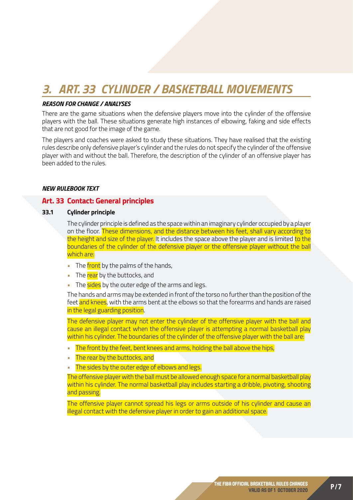## <span id="page-6-0"></span>*3. ART. 33 CYLINDER / BASKETBALL MOVEMENTS*

#### *REASON FOR CHANGE / ANALYSES*

There are the game situations when the defensive players move into the cylinder of the offensive players with the ball. These situations generate high instances of elbowing, faking and side effects that are not good for the image of the game.

The players and coaches were asked to study these situations. They have realised that the existing rules describe only defensive player's cylinder and the rules do not specify the cylinder of the offensive player with and without the ball. Therefore, the description of the cylinder of an offensive player has been added to the rules.

#### *NEW RULEBOOK TEXT*

#### **Art. 33 Contact: General principles**

#### **33.1 Cylinder principle**

The cylinder principle is defined as the space within an imaginary cylinder occupied by a player on the floor. These dimensions, and the distance between his feet, shall vary according to the height and size of the player. It includes the space above the player and is limited to the boundaries of the cylinder of the defensive player or the offensive player without the ball which are:

- The front by the palms of the hands,
- The rear by the buttocks, and
- The sides by the outer edge of the arms and legs.

The hands and arms may be extended in front of the torso no further than the position of the feet and knees, with the arms bent at the elbows so that the forearms and hands are raised in the legal guarding position.

The defensive player may not enter the cylinder of the offensive player with the ball and cause an illegal contact when the offensive player is attempting a normal basketball play within his cylinder. The boundaries of the cylinder of the offensive player with the ball are:

- The front by the feet, bent knees and arms, holding the ball above the hips,
- The rear by the buttocks, and
- The sides by the outer edge of elbows and legs.

The offensive player with the ball must be allowed enough space for a normal basketball play within his cylinder. The normal basketball play includes starting a dribble, pivoting, shooting and passing.

The offensive player cannot spread his legs or arms outside of his cylinder and cause an illegal contact with the defensive player in order to gain an additional space.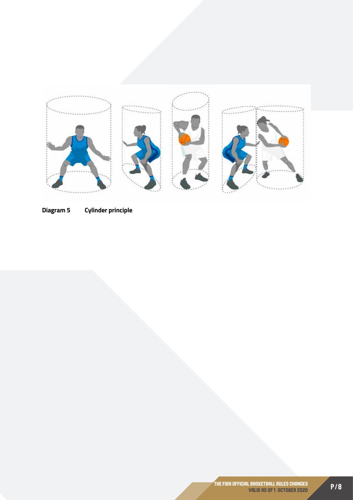

**Diagram 5 Cylinder principle**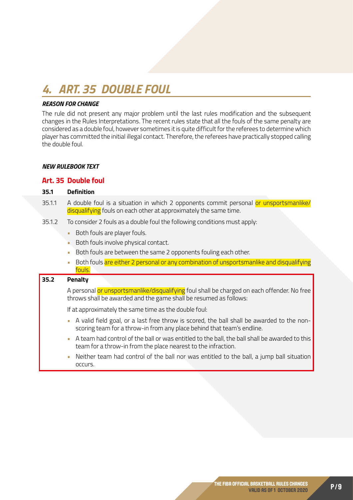## <span id="page-8-0"></span>*4. ART. 35 DOUBLE FOUL*

#### *REASON FOR CHANGE*

The rule did not present any major problem until the last rules modification and the subsequent changes in the Rules Interpretations. The recent rules state that all the fouls of the same penalty are considered as a double foul, however sometimes it is quite difficult for the referees to determine which player has committed the initial illegal contact. Therefore, the referees have practically stopped calling the double foul.

#### *NEW RULEBOOK TEXT*

#### **Art. 35 Double foul**

#### **35.1 Definition**

- 35.1.1 A double foul is a situation in which 2 opponents commit personal or unsportsmanlike/ disqualifying fouls on each other at approximately the same time.
- 35.1.2 To consider 2 fouls as a double foul the following conditions must apply:
	- Both fouls are player fouls.
	- Both fouls involve physical contact.
	- Both fouls are between the same 2 opponents fouling each other.
	- Both fouls are either 2 personal or any combination of unsportsmanlike and disqualifying fouls.

#### **35.2 Penalty**

A personal or unsportsmanlike/disqualifying foul shall be charged on each offender. No free throws shall be awarded and the game shall be resumed as follows:

If at approximately the same time as the double foul:

- A valid field goal, or a last free throw is scored, the ball shall be awarded to the nonscoring team for a throw-in from any place behind that team's endline.
- A team had control of the ball or was entitled to the ball, the ball shall be awarded to this team for a throw-in from the place nearest to the infraction.
- Neither team had control of the ball nor was entitled to the ball, a jump ball situation occurs.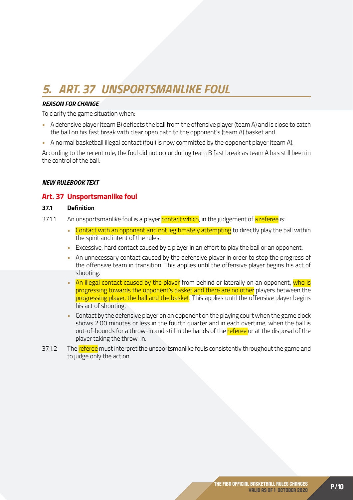## <span id="page-9-0"></span>*5. ART. 37 UNSPORTSMANLIKE FOUL*

#### *REASON FOR CHANGE*

To clarify the game situation when:

- A defensive player (team B) deflects the ball from the offensive player (team A) and is close to catch the ball on his fast break with clear open path to the opponent's (team A) basket and
- A normal basketball illegal contact (foul) is now committed by the opponent player (team A).

According to the recent rule, the foul did not occur during team B fast break as team A has still been in the control of the ball.

#### *NEW RULEBOOK TEXT*

#### **Art. 37 Unsportsmanlike foul**

#### **37.1 Definition**

- 37.1.1 An unsportsmanlike foul is a player contact which, in the judgement of a referee is:
	- Contact with an opponent and not legitimately attempting to directly play the ball within the spirit and intent of the rules.
	- Excessive, hard contact caused by a player in an effort to play the ball or an opponent.
	- An unnecessary contact caused by the defensive player in order to stop the progress of the offensive team in transition. This applies until the offensive player begins his act of shooting.
	- An illegal contact caused by the player from behind or laterally on an opponent, who is progressing towards the opponent's basket and there are no other players between the progressing player, the ball and the basket. This applies until the offensive player begins his act of shooting.
	- Contact by the defensive player on an opponent on the playing court when the game clock shows 2:00 minutes or less in the fourth quarter and in each overtime, when the ball is out-of-bounds for a throw-in and still in the hands of the referee or at the disposal of the player taking the throw-in.
- 37.1.2 The referee must interpret the unsportsmanlike fouls consistently throughout the game and to judge only the action.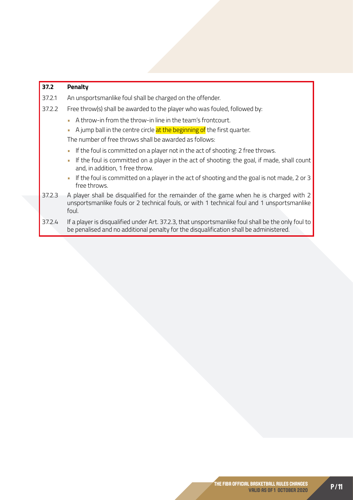#### **37.2 Penalty**

- 37.2.1 An unsportsmanlike foul shall be charged on the offender.
- 37.2.2 Free throw(s) shall be awarded to the player who was fouled, followed by:
	- A throw-in from the throw-in line in the team's frontcourt.
	- $\blacksquare$  A jump ball in the centre circle  $at$  the beginning of the first quarter.

The number of free throws shall be awarded as follows:

- If the foul is committed on a player not in the act of shooting: 2 free throws.
- If the foul is committed on a player in the act of shooting: the goal, if made, shall count and, in addition, 1 free throw.
- If the foul is committed on a player in the act of shooting and the goal is not made, 2 or 3 free throws.
- 37.2.3 A player shall be disqualified for the remainder of the game when he is charged with 2 unsportsmanlike fouls or 2 technical fouls, or with 1 technical foul and 1 unsportsmanlike foul.
- 37.2.4 If a player is disqualified under Art. 37.2.3, that unsportsmanlike foul shall be the only foul to be penalised and no additional penalty for the disqualification shall be administered.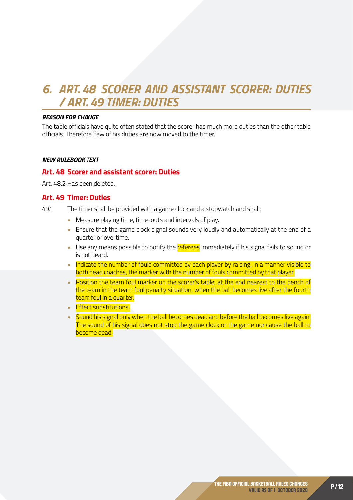## <span id="page-11-0"></span>*6. ART. 48 SCORER AND ASSISTANT SCORER: DUTIES / ART. 49 TIMER: DUTIES*

#### *REASON FOR CHANGE*

The table officials have quite often stated that the scorer has much more duties than the other table officials. Therefore, few of his duties are now moved to the timer.

#### *NEW RULEBOOK TEXT*

#### **Art. 48 Scorer and assistant scorer: Duties**

Art. 48.2 Has been deleted.

#### **Art. 49 Timer: Duties**

49.1 The timer shall be provided with a game clock and a stopwatch and shall:

- Measure playing time, time-outs and intervals of play.
- Ensure that the game clock signal sounds very loudly and automatically at the end of a quarter or overtime.
- Use any means possible to notify the referees immediately if his signal fails to sound or is not heard.
- Indicate the number of fouls committed by each player by raising, in a manner visible to both head coaches, the marker with the number of fouls committed by that player.
- Position the team foul marker on the scorer's table, at the end nearest to the bench of the team in the team foul penalty situation, when the ball becomes live after the fourth team foul in a quarter.
- **Effect substitutions.**
- Sound his signal only when the ball becomes dead and before the ball becomes live again. The sound of his signal does not stop the game clock or the game nor cause the ball to become dead.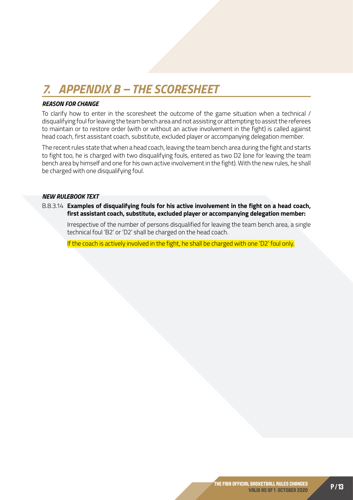## <span id="page-12-0"></span>*7. APPENDIX B – THE SCORESHEET*

#### *REASON FOR CHANGE*

To clarify how to enter in the scoresheet the outcome of the game situation when a technical / disqualifying foul for leaving the team bench area and not assisting or attempting to assist the referees to maintain or to restore order (with or without an active involvement in the fight) is called against head coach, first assistant coach, substitute, excluded player or accompanying delegation member.

The recent rules state that when a head coach, leaving the team bench area during the fight and starts to fight too, he is charged with two disqualifying fouls, entered as two D2 (one for leaving the team bench area by himself and one for his own active involvement in the fight). With the new rules, he shall be charged with one disqualifying foul.

#### *NEW RULEBOOK TEXT*

B.8.3.14 **Examples of disqualifying fouls for his active involvement in the fight on a head coach, first assistant coach, substitute, excluded player or accompanying delegation member:**

Irrespective of the number of persons disqualified for leaving the team bench area, a single technical foul 'B2' or 'D2' shall be charged on the head coach.

If the coach is actively involved in the fight, he shall be charged with one 'D2' foul only.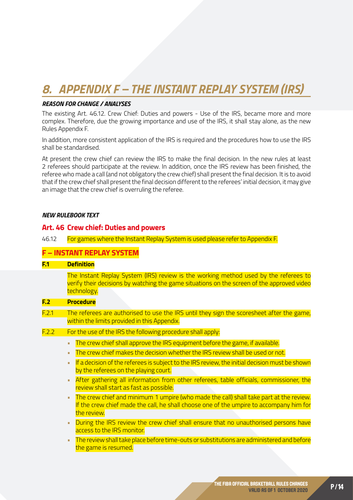## <span id="page-13-0"></span>*8. APPENDIX F – THE INSTANT REPLAY SYSTEM (IRS)*

#### *REASON FOR CHANGE / ANALYSES*

The existing Art. 46.12. Crew Chief: Duties and powers - Use of the IRS, became more and more complex. Therefore, due the growing importance and use of the IRS, it shall stay alone, as the new Rules Appendix F.

In addition, more consistent application of the IRS is required and the procedures how to use the IRS shall be standardised.

At present the crew chief can review the IRS to make the final decision. In the new rules at least 2 referees should participate at the review. In addition, once the IRS review has been finished, the referee who made a call (and not obligatory the crew chief) shall present the final decision. It is to avoid that if the crew chief shall present the final decision different to the referees' initial decision, it may give an image that the crew chief is overruling the referee.

#### *NEW RULEBOOK TEXT*

#### **Art. 46 Crew chief: Duties and powers**

46.12 For games where the Instant Replay System is used please refer to Appendix F.

#### **F – INSTANT REPLAY SYSTEM**

#### **F.1 Definition**

The Instant Replay System (IRS) review is the working method used by the referees to verify their decisions by watching the game situations on the screen of the approved video technology.

#### **F.2 Procedure**

- F.2.1 The referees are authorised to use the IRS until they sign the scoresheet after the game, within the limits provided in this Appendix.
- F.2.2 For the use of the IRS the following procedure shall apply:
	- The crew chief shall approve the IRS equipment before the game, if available.
	- The crew chief makes the decision whether the IRS review shall be used or not.
	- If a decision of the referees is subject to the IRS review, the initial decision must be shown by the referees on the playing court.
	- After gathering all information from other referees, table officials, commissioner, the review shall start as fast as possible.
	- The crew chief and minimum 1 umpire (who made the call) shall take part at the review. If the crew chief made the call, he shall choose one of the umpire to accompany him for the review.
	- During the IRS review the crew chief shall ensure that no unauthorised persons have access to the IRS monitor.
	- The review shall take place before time-outs or substitutions are administered and before the game is resumed.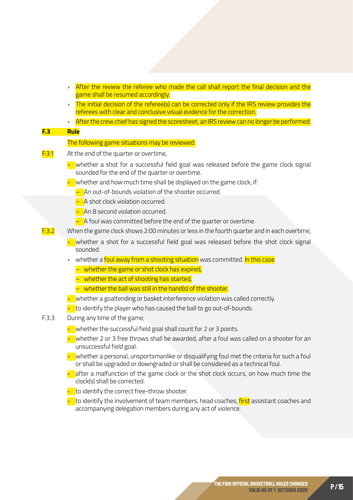- After the review the referee who made the call shall report the final decision and the game shall be resumed accordingly.
- The initial decision of the referee(s) can be corrected only if the IRS review provides the referees with clear and conclusive visual evidence for the correction.
- After the crew chief has signed the scoresheet, an IRS review can no longer be performed.

#### **F.3 Rule**

#### The following game situations may be reviewed:

- **F.3.1** At the end of the quarter or overtime,
	- whether a shot for a successful field goal was released before the game clock signal sounded for the end of the quarter or overtime.
	- $\blacksquare$  whether and how much time shall be displayed on the game clock, if:
		- An out-of-bounds violation of the shooter occurred.
		- A shot clock violation occurred.
		- An 8 second violation occurred.
		- $-$  A foul was committed before the end of the quarter or overtime.
- F.3.2 When the game clock shows 2:00 minutes or less in the fourth quarter and in each overtime,
	- whether a shot for a successful field goal was released before the shot clock signal sounded.
	- whether a foul away from a shooting situation was committed. In this case
		- whether the game or shot clock has expired,
		- whether the act of shooting has started,
		- whether the ball was still in the hand(s) of the shooter.
	- $\blacksquare$  whether a goaltending or basket interference violation was called correctly.
		- to identify the player who has caused the ball to go out-of-bounds.
- F.3.3 During any time of the game,
	- whether the successful field goal shall count for 2 or 3 points.
	- whether 2 or 3 free throws shall be awarded, after a foul was called on a shooter for an unsuccessful field goal.
	- $\blacksquare$  whether a personal, unsportsmanlike or disqualifying foul met the criteria for such a foul or shall be upgraded or downgraded or shall be considered as a technical foul.
	- after a malfunction of the game clock or the shot clock occurs, on how much time the clock(s) shall be corrected.
	- $\overline{\phantom{a}}$  to identify the correct free-throw shooter.
	- to identify the involvement of team members, head coaches, first assistant coaches and accompanying delegation members during any act of violence.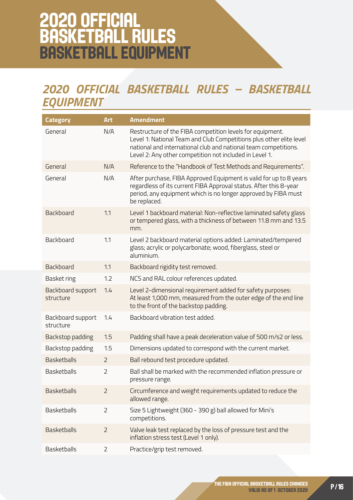## <span id="page-15-0"></span>2020 OFFICIAL BASKETBALL RULES BASKETBALL EQUIPMENT

## *2020 OFFICIAL BASKETBALL RULES – BASKETBALL EQUIPMENT*

| <b>Category</b>                | <b>Art</b>     | <b>Amendment</b>                                                                                                                                                                                                                                               |
|--------------------------------|----------------|----------------------------------------------------------------------------------------------------------------------------------------------------------------------------------------------------------------------------------------------------------------|
| General                        | N/A            | Restructure of the FIBA competition levels for equipment.<br>Level 1: National Team and Club Competitions plus other elite level<br>national and international club and national team competitions.<br>Level 2: Any other competition not included in Level 1. |
| General                        | N/A            | Reference to the "Handbook of Test Methods and Requirements".                                                                                                                                                                                                  |
| General                        | N/A            | After purchase, FIBA Approved Equipment is valid for up to 8 years<br>regardless of its current FIBA Approval status. After this 8-year<br>period, any equipment which is no longer approved by FIBA must<br>be replaced.                                      |
| Backboard                      | 1.1            | Level 1 backboard material: Non-reflective laminated safety glass<br>or tempered glass, with a thickness of between 11.8 mm and 13.5<br>mm.                                                                                                                    |
| Backboard                      | 1.1            | Level 2 backboard material options added: Laminated/tempered<br>glass; acrylic or polycarbonate; wood, fiberglass, steel or<br>aluminium.                                                                                                                      |
| Backboard                      | 1.1            | Backboard rigidity test removed.                                                                                                                                                                                                                               |
| <b>Basket ring</b>             | 1.2            | NCS and RAL colour references updated.                                                                                                                                                                                                                         |
| Backboard support<br>structure | 1.4            | Level 2-dimensional requirement added for safety purposes:<br>At least 1,000 mm, measured from the outer edge of the end line<br>to the front of the backstop padding.                                                                                         |
| Backboard support<br>structure | 1.4            | Backboard vibration test added.                                                                                                                                                                                                                                |
| Backstop padding               | 1.5            | Padding shall have a peak deceleration value of 500 m/s2 or less.                                                                                                                                                                                              |
| Backstop padding               | 1.5            | Dimensions updated to correspond with the current market.                                                                                                                                                                                                      |
| <b>Basketballs</b>             | $\overline{2}$ | Ball rebound test procedure updated.                                                                                                                                                                                                                           |
| <b>Basketballs</b>             | $\overline{2}$ | Ball shall be marked with the recommended inflation pressure or<br>pressure range.                                                                                                                                                                             |
| <b>Basketballs</b>             | $\overline{2}$ | Circumference and weight requirements updated to reduce the<br>allowed range.                                                                                                                                                                                  |
| <b>Basketballs</b>             | $\overline{2}$ | Size 5 Lightweight (360 - 390 g) ball allowed for Mini's<br>competitions.                                                                                                                                                                                      |
| <b>Basketballs</b>             | $\overline{2}$ | Valve leak test replaced by the loss of pressure test and the<br>inflation stress test (Level 1 only).                                                                                                                                                         |
| <b>Basketballs</b>             | $\overline{2}$ | Practice/grip test removed.                                                                                                                                                                                                                                    |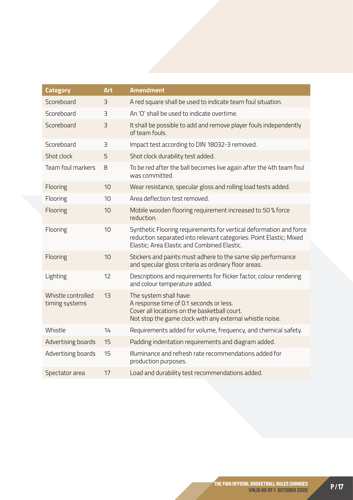| <b>Category</b>                      | <b>Art</b> | <b>Amendment</b>                                                                                                                                                                        |
|--------------------------------------|------------|-----------------------------------------------------------------------------------------------------------------------------------------------------------------------------------------|
| Scoreboard                           | 3          | A red square shall be used to indicate team foul situation.                                                                                                                             |
| Scoreboard                           | 3          | An 'O' shall be used to indicate overtime.                                                                                                                                              |
| Scoreboard                           | 3          | It shall be possible to add and remove player fouls independently<br>of team fouls.                                                                                                     |
| Scoreboard                           | 3          | Impact test according to DIN 18032-3 removed.                                                                                                                                           |
| Shot clock                           | 5          | Shot clock durability test added.                                                                                                                                                       |
| Team foul markers                    | 8          | To be red after the ball becomes live again after the 4th team foul<br>was committed.                                                                                                   |
| Flooring                             | 10         | Wear resistance, specular gloss and rolling load tests added.                                                                                                                           |
| Flooring                             | 10         | Area deflection test removed.                                                                                                                                                           |
| Flooring                             | 10         | Mobile wooden flooring requirement increased to 50 % force<br>reduction.                                                                                                                |
| Flooring                             | 10         | Synthetic Flooring requirements for vertical deformation and force<br>reduction separated into relevant categories: Point Elastic; Mixed<br>Elastic; Area Elastic and Combined Elastic. |
| Flooring                             | 10         | Stickers and paints must adhere to the same slip performance<br>and specular gloss criteria as ordinary floor areas.                                                                    |
| Lighting                             | 12         | Descriptions and requirements for flicker factor, colour rendering<br>and colour temperature added.                                                                                     |
| Whistle controlled<br>timing systems | 13         | The system shall have:<br>A response time of 0.1 seconds or less.<br>Cover all locations on the basketball court.<br>Not stop the game clock with any external whistle noise.           |
| Whistle                              | 14         | Requirements added for volume, frequency, and chemical safety.                                                                                                                          |
| Advertising boards                   | 15         | Padding indentation requirements and diagram added.                                                                                                                                     |
| Advertising boards                   | 15         | Illuminance and refresh rate recommendations added for<br>production purposes.                                                                                                          |
| Spectator area                       | 17         | Load and durability test recommendations added.                                                                                                                                         |